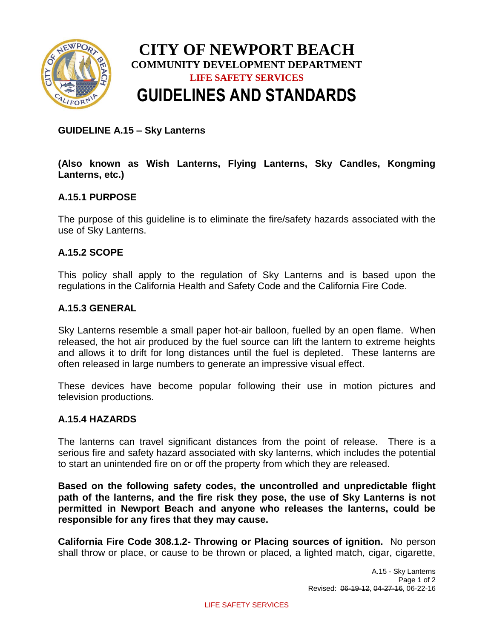

# **CITY OF NEWPORT BEACH COMMUNITY DEVELOPMENT DEPARTMENT LIFE SAFETY SERVICES GUIDELINES AND STANDARDS**

## **GUIDELINE A.15 – Sky Lanterns**

## **(Also known as Wish Lanterns, Flying Lanterns, Sky Candles, Kongming Lanterns, etc.)**

# **A.15.1 PURPOSE**

The purpose of this guideline is to eliminate the fire/safety hazards associated with the use of Sky Lanterns.

#### **A.15.2 SCOPE**

This policy shall apply to the regulation of Sky Lanterns and is based upon the regulations in the California Health and Safety Code and the California Fire Code.

#### **A.15.3 GENERAL**

Sky Lanterns resemble a small paper hot-air balloon, fuelled by an open flame. When released, the hot air produced by the fuel source can lift the lantern to extreme heights and allows it to drift for long distances until the fuel is depleted. These lanterns are often released in large numbers to generate an impressive visual effect.

These devices have become popular following their use in motion pictures and television productions.

#### **A.15.4 HAZARDS**

The lanterns can travel significant distances from the point of release. There is a serious fire and safety hazard associated with sky lanterns, which includes the potential to start an unintended fire on or off the property from which they are released.

**Based on the following safety codes, the uncontrolled and unpredictable flight path of the lanterns, and the fire risk they pose, the use of Sky Lanterns is not permitted in Newport Beach and anyone who releases the lanterns, could be responsible for any fires that they may cause.**

**California Fire Code 308.1.2- Throwing or Placing sources of ignition.** No person shall throw or place, or cause to be thrown or placed, a lighted match, cigar, cigarette,